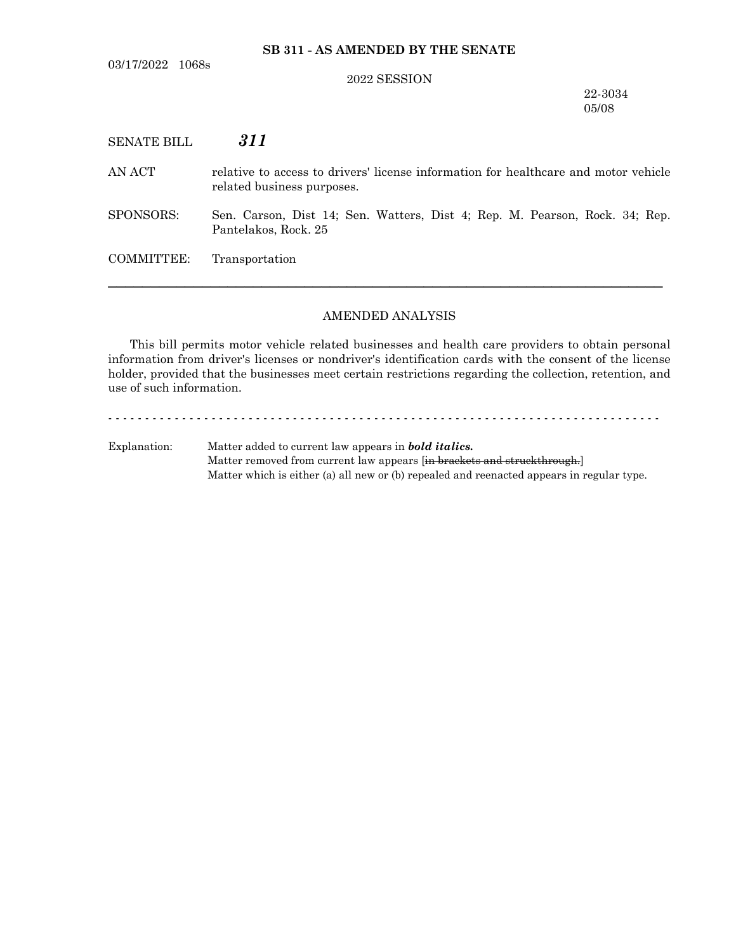### **SB 311 - AS AMENDED BY THE SENATE**

#### 2022 SESSION

22-3034 05/08

## SENATE BILL *311*

AN ACT relative to access to drivers' license information for healthcare and motor vehicle related business purposes.

SPONSORS: Sen. Carson, Dist 14; Sen. Watters, Dist 4; Rep. M. Pearson, Rock. 34; Rep. Pantelakos, Rock. 25

COMMITTEE: Transportation

#### AMENDED ANALYSIS

─────────────────────────────────────────────────────────────────

This bill permits motor vehicle related businesses and health care providers to obtain personal information from driver's licenses or nondriver's identification cards with the consent of the license holder, provided that the businesses meet certain restrictions regarding the collection, retention, and use of such information.

- - - - - - - - - - - - - - - - - - - - - - - - - - - - - - - - - - - - - - - - - - - - - - - - - - - - - - - - - - - - - - - - - - - - - - - - - - -

Explanation: Matter added to current law appears in *bold italics.* Matter removed from current law appears [in brackets and struckthrough.] Matter which is either (a) all new or (b) repealed and reenacted appears in regular type.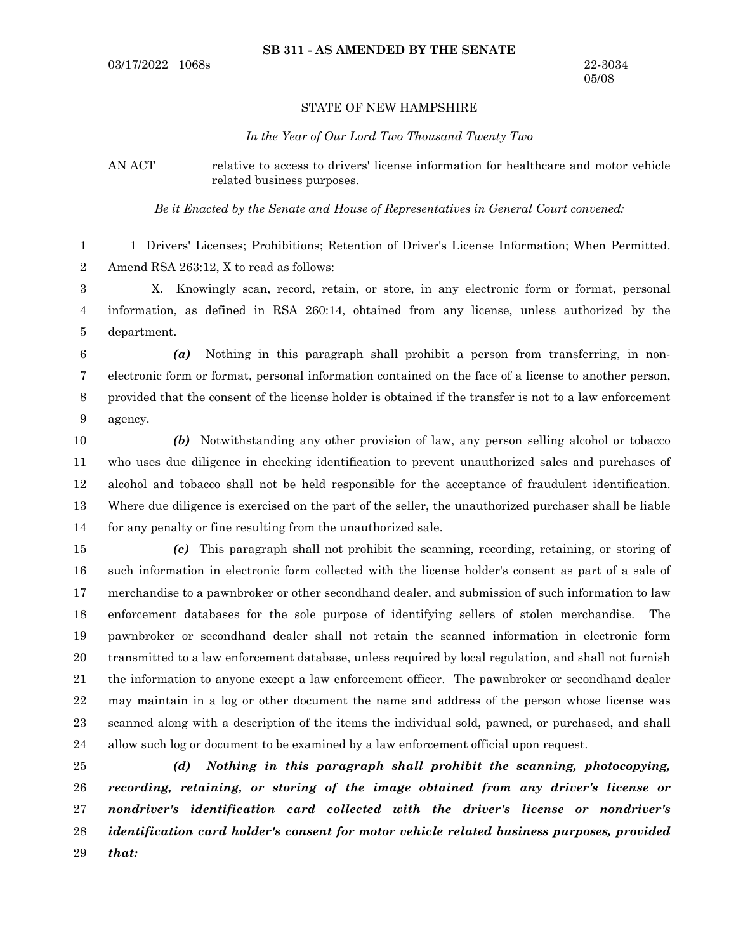#### STATE OF NEW HAMPSHIRE

#### *In the Year of Our Lord Two Thousand Twenty Two*

AN ACT relative to access to drivers' license information for healthcare and motor vehicle related business purposes.

*Be it Enacted by the Senate and House of Representatives in General Court convened:*

1 Drivers' Licenses; Prohibitions; Retention of Driver's License Information; When Permitted. Amend RSA 263:12, X to read as follows: 1 2

X. Knowingly scan, record, retain, or store, in any electronic form or format, personal information, as defined in RSA 260:14, obtained from any license, unless authorized by the department. 3 4 5

*(a)* Nothing in this paragraph shall prohibit a person from transferring, in nonelectronic form or format, personal information contained on the face of a license to another person, provided that the consent of the license holder is obtained if the transfer is not to a law enforcement agency. 6 7 8 9

*(b)* Notwithstanding any other provision of law, any person selling alcohol or tobacco who uses due diligence in checking identification to prevent unauthorized sales and purchases of alcohol and tobacco shall not be held responsible for the acceptance of fraudulent identification. Where due diligence is exercised on the part of the seller, the unauthorized purchaser shall be liable for any penalty or fine resulting from the unauthorized sale. 10 11 12 13 14

*(c)* This paragraph shall not prohibit the scanning, recording, retaining, or storing of such information in electronic form collected with the license holder's consent as part of a sale of merchandise to a pawnbroker or other secondhand dealer, and submission of such information to law enforcement databases for the sole purpose of identifying sellers of stolen merchandise. The pawnbroker or secondhand dealer shall not retain the scanned information in electronic form transmitted to a law enforcement database, unless required by local regulation, and shall not furnish the information to anyone except a law enforcement officer. The pawnbroker or secondhand dealer may maintain in a log or other document the name and address of the person whose license was scanned along with a description of the items the individual sold, pawned, or purchased, and shall allow such log or document to be examined by a law enforcement official upon request. 15 16 17 18 19 20 21 22 23 24

*(d) Nothing in this paragraph shall prohibit the scanning, photocopying, recording, retaining, or storing of the image obtained from any driver's license or nondriver's identification card collected with the driver's license or nondriver's identification card holder's consent for motor vehicle related business purposes, provided that:* 25 26 27 28 29